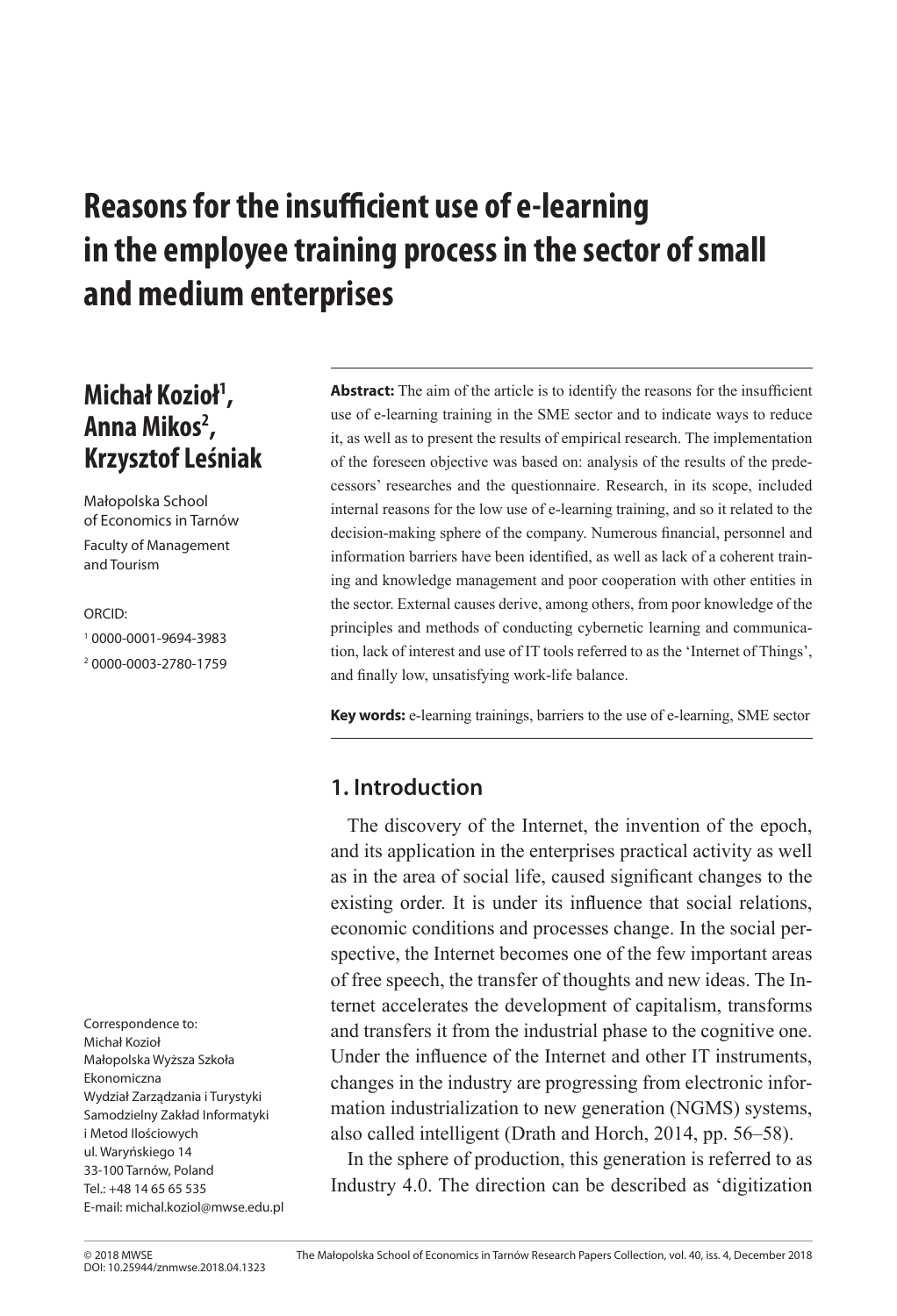# **Reasons for the insufficient use of e-learning in the employee training process in the sector of small and medium enterprises**

## **Michał Kozioł1 , Anna Mikos2 , Krzysztof Leśniak**

Małopolska School of Economics in Tarnów

Faculty of Management and Tourism

ORCID:

1 0000-0001-9694-3983 2 0000-0003-2780-1759

Correspondence to: Michał Kozioł Małopolska Wyższa Szkoła Ekonomiczna Wydział Zarządzania i Turystyki Samodzielny Zakład Informatyki i Metod Ilościowych ul. Waryńskiego 14 33-100 Tarnów, Poland Tel.: +48 14 65 65 535 E-mail: michal.koziol@mwse.edu.pl

**Abstract:** The aim of the article is to identify the reasons for the insufficient use of e-learning training in the SME sector and to indicate ways to reduce it, as well as to present the results of empirical research. The implementation of the foreseen objective was based on: analysis of the results of the predecessors' researches and the questionnaire. Research, in its scope, included internal reasons for the low use of e-learning training, and so it related to the decision-making sphere of the company. Numerous financial, personnel and information barriers have been identified, as well as lack of a coherent training and knowledge management and poor cooperation with other entities in the sector. External causes derive, among others, from poor knowledge of the principles and methods of conducting cybernetic learning and communication, lack of interest and use of IT tools referred to as the 'Internet of Things', and finally low, unsatisfying work-life balance.

**Key words:** e-learning trainings, barriers to the use of e-learning, SME sector

### **1. Introduction**

The discovery of the Internet, the invention of the epoch, and its application in the enterprises practical activity as well as in the area of social life, caused significant changes to the existing order. It is under its influence that social relations, economic conditions and processes change. In the social perspective, the Internet becomes one of the few important areas of free speech, the transfer of thoughts and new ideas. The Internet accelerates the development of capitalism, transforms and transfers it from the industrial phase to the cognitive one. Under the influence of the Internet and other IT instruments, changes in the industry are progressing from electronic information industrialization to new generation (NGMS) systems, also called intelligent (Drath and Horch, 2014, pp. 56–58).

In the sphere of production, this generation is referred to as Industry 4.0. The direction can be described as 'digitization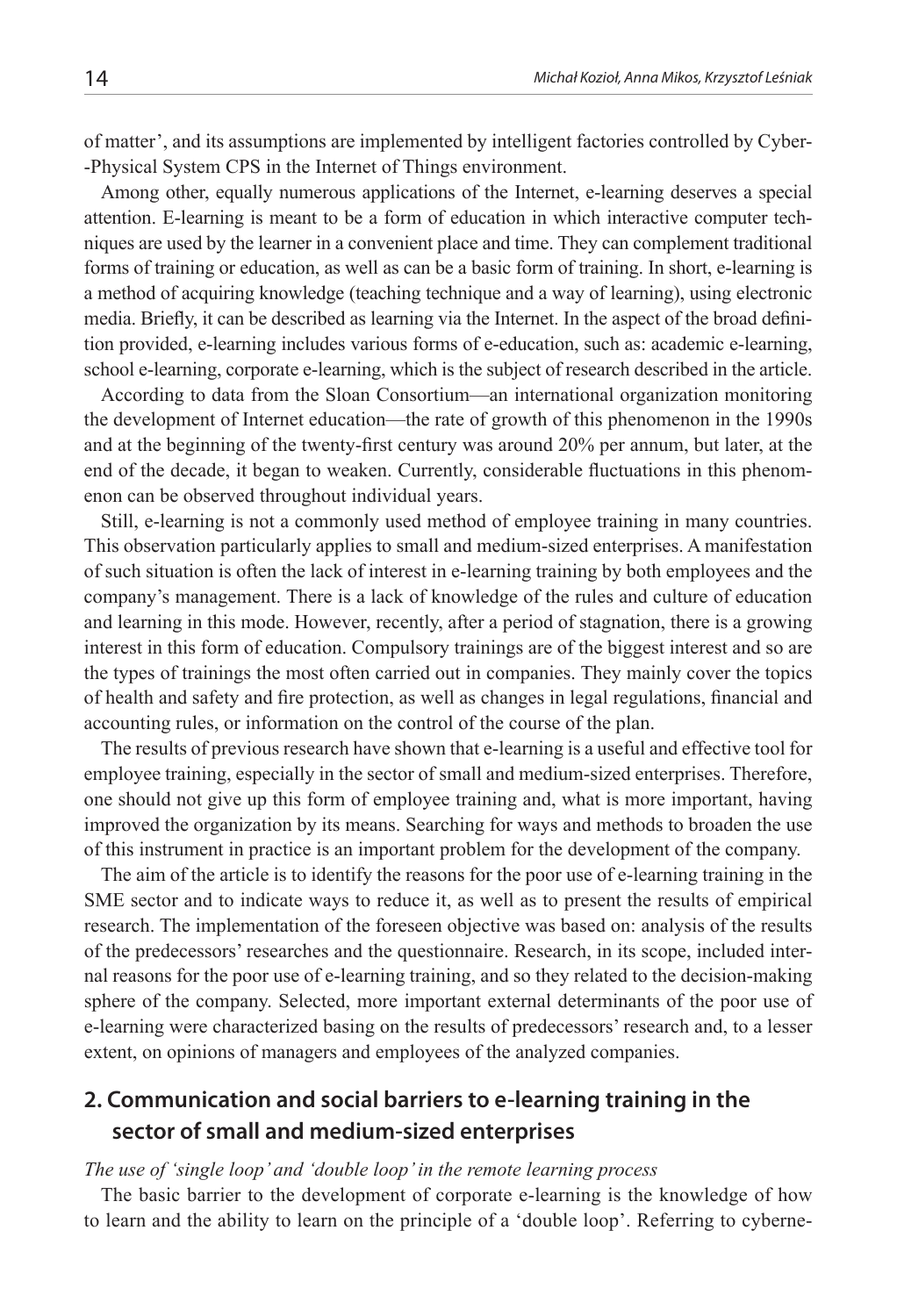of matter', and its assumptions are implemented by intelligent factories controlled by Cyber- -Physical System CPS in the Internet of Things environment.

Among other, equally numerous applications of the Internet, e-learning deserves a special attention. E-learning is meant to be a form of education in which interactive computer techniques are used by the learner in a convenient place and time. They can complement traditional forms of training or education, as well as can be a basic form of training. In short, e-learning is a method of acquiring knowledge (teaching technique and a way of learning), using electronic media. Briefly, it can be described as learning via the Internet. In the aspect of the broad definition provided, e-learning includes various forms of e-education, such as: academic e-learning, school e-learning, corporate e-learning, which is the subject of research described in the article.

According to data from the Sloan Consortium—an international organization monitoring the development of Internet education—the rate of growth of this phenomenon in the 1990s and at the beginning of the twenty-first century was around 20% per annum, but later, at the end of the decade, it began to weaken. Currently, considerable fluctuations in this phenomenon can be observed throughout individual years.

Still, e-learning is not a commonly used method of employee training in many countries. This observation particularly applies to small and medium-sized enterprises. A manifestation of such situation is often the lack of interest in e-learning training by both employees and the company's management. There is a lack of knowledge of the rules and culture of education and learning in this mode. However, recently, after a period of stagnation, there is a growing interest in this form of education. Compulsory trainings are of the biggest interest and so are the types of trainings the most often carried out in companies. They mainly cover the topics of health and safety and fire protection, as well as changes in legal regulations, financial and accounting rules, or information on the control of the course of the plan.

The results of previous research have shown that e-learning is a useful and effective tool for employee training, especially in the sector of small and medium-sized enterprises. Therefore, one should not give up this form of employee training and, what is more important, having improved the organization by its means. Searching for ways and methods to broaden the use of this instrument in practice is an important problem for the development of the company.

The aim of the article is to identify the reasons for the poor use of e-learning training in the SME sector and to indicate ways to reduce it, as well as to present the results of empirical research. The implementation of the foreseen objective was based on: analysis of the results of the predecessors' researches and the questionnaire. Research, in its scope, included internal reasons for the poor use of e-learning training, and so they related to the decision-making sphere of the company. Selected, more important external determinants of the poor use of e-learning were characterized basing on the results of predecessors' research and, to a lesser extent, on opinions of managers and employees of the analyzed companies.

## **2. Communication and social barriers to e-learning training in the sector of small and medium-sized enterprises**

#### *The use of 'single loop' and 'double loop' in the remote learning process*

The basic barrier to the development of corporate e-learning is the knowledge of how to learn and the ability to learn on the principle of a 'double loop'. Referring to cyberne-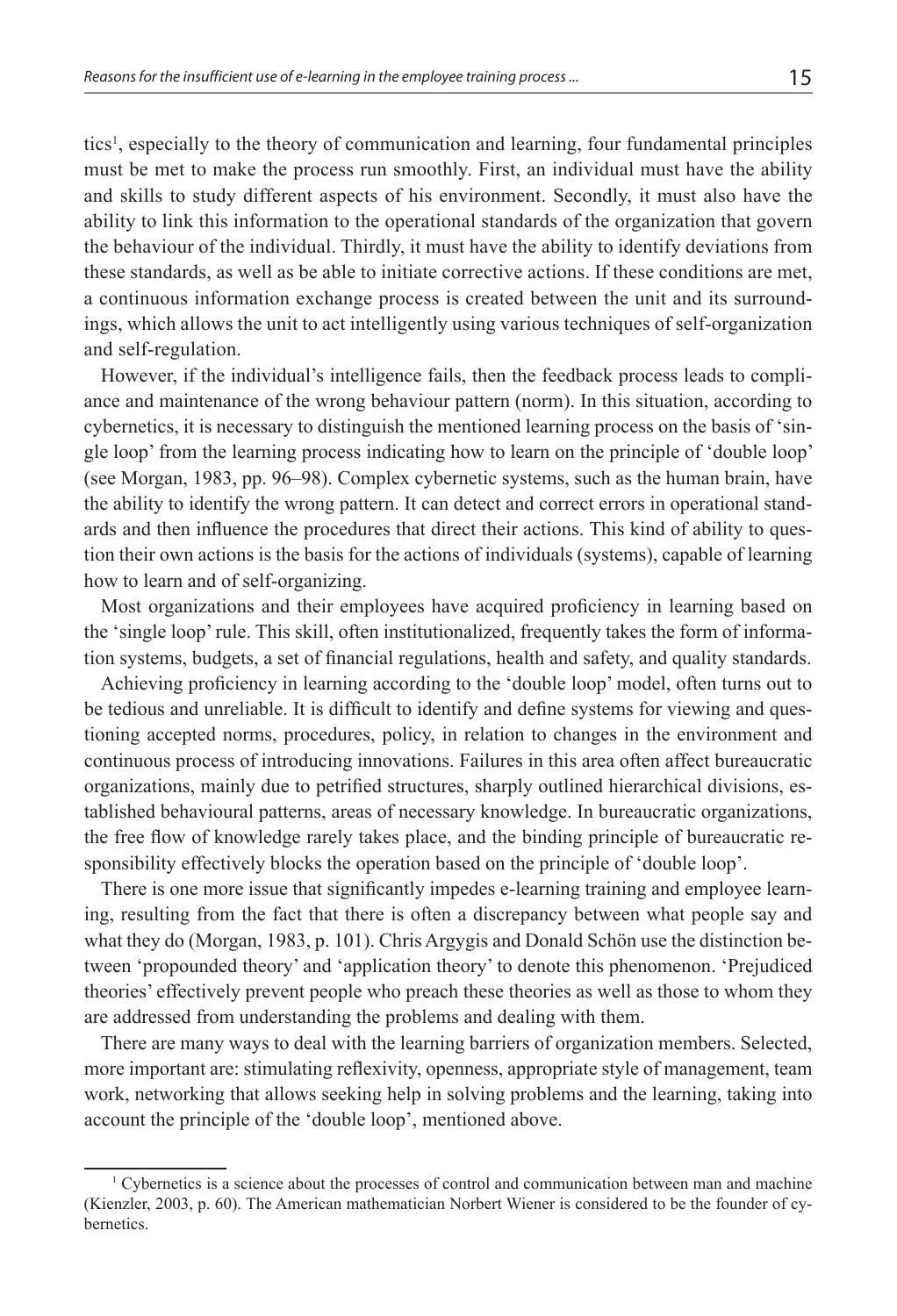tics<sup>1</sup>, especially to the theory of communication and learning, four fundamental principles must be met to make the process run smoothly. First, an individual must have the ability and skills to study different aspects of his environment. Secondly, it must also have the ability to link this information to the operational standards of the organization that govern the behaviour of the individual. Thirdly, it must have the ability to identify deviations from these standards, as well as be able to initiate corrective actions. If these conditions are met, a continuous information exchange process is created between the unit and its surroundings, which allows the unit to act intelligently using various techniques of self-organization and self-regulation.

However, if the individual's intelligence fails, then the feedback process leads to compliance and maintenance of the wrong behaviour pattern (norm). In this situation, according to cybernetics, it is necessary to distinguish the mentioned learning process on the basis of 'single loop' from the learning process indicating how to learn on the principle of 'double loop' (see Morgan, 1983, pp. 96–98). Complex cybernetic systems, such as the human brain, have the ability to identify the wrong pattern. It can detect and correct errors in operational standards and then influence the procedures that direct their actions. This kind of ability to question their own actions is the basis for the actions of individuals (systems), capable of learning how to learn and of self-organizing.

Most organizations and their employees have acquired proficiency in learning based on the 'single loop' rule. This skill, often institutionalized, frequently takes the form of information systems, budgets, a set of financial regulations, health and safety, and quality standards.

Achieving proficiency in learning according to the 'double loop' model, often turns out to be tedious and unreliable. It is difficult to identify and define systems for viewing and questioning accepted norms, procedures, policy, in relation to changes in the environment and continuous process of introducing innovations. Failures in this area often affect bureaucratic organizations, mainly due to petrified structures, sharply outlined hierarchical divisions, established behavioural patterns, areas of necessary knowledge. In bureaucratic organizations, the free flow of knowledge rarely takes place, and the binding principle of bureaucratic responsibility effectively blocks the operation based on the principle of 'double loop'.

There is one more issue that significantly impedes e-learning training and employee learning, resulting from the fact that there is often a discrepancy between what people say and what they do (Morgan, 1983, p. 101). Chris Argygis and Donald Schön use the distinction between 'propounded theory' and 'application theory' to denote this phenomenon. 'Prejudiced theories' effectively prevent people who preach these theories as well as those to whom they are addressed from understanding the problems and dealing with them.

There are many ways to deal with the learning barriers of organization members. Selected, more important are: stimulating reflexivity, openness, appropriate style of management, team work, networking that allows seeking help in solving problems and the learning, taking into account the principle of the 'double loop', mentioned above.

<sup>1</sup> Cybernetics is a science about the processes of control and communication between man and machine (Kienzler, 2003, p. 60). The American mathematician Norbert Wiener is considered to be the founder of cybernetics.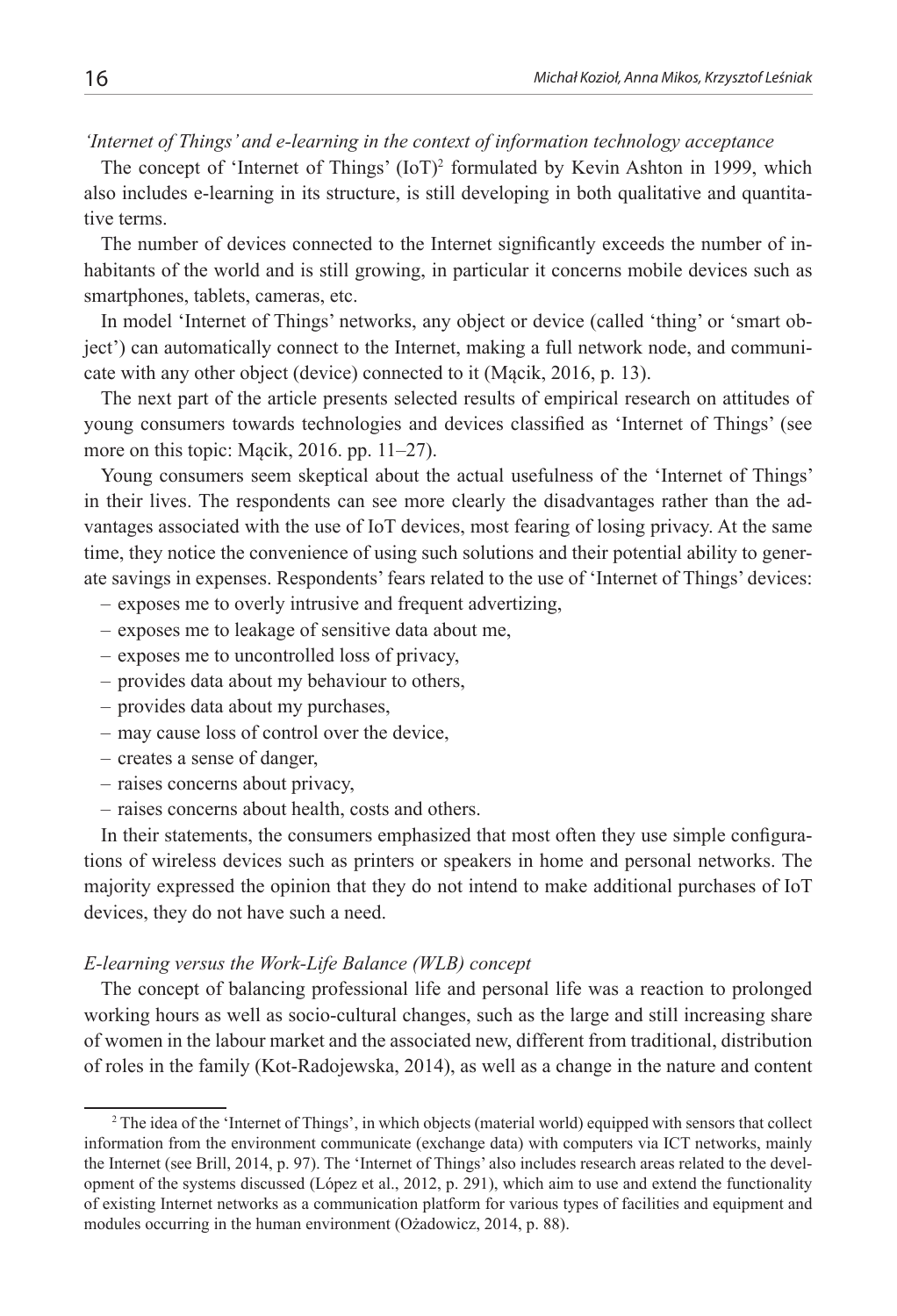#### *'Internet of Things' and e-learning in the context of information technology acceptance*

The concept of 'Internet of Things'  $(IoT)^2$  formulated by Kevin Ashton in 1999, which also includes e-learning in its structure, is still developing in both qualitative and quantitative terms.

The number of devices connected to the Internet significantly exceeds the number of inhabitants of the world and is still growing, in particular it concerns mobile devices such as smartphones, tablets, cameras, etc.

In model 'Internet of Things' networks, any object or device (called 'thing' or 'smart object') can automatically connect to the Internet, making a full network node, and communicate with any other object (device) connected to it (Mącik, 2016, p. 13).

The next part of the article presents selected results of empirical research on attitudes of young consumers towards technologies and devices classified as 'Internet of Things' (see more on this topic: Mącik, 2016. pp. 11–27).

Young consumers seem skeptical about the actual usefulness of the 'Internet of Things' in their lives. The respondents can see more clearly the disadvantages rather than the advantages associated with the use of IoT devices, most fearing of losing privacy. At the same time, they notice the convenience of using such solutions and their potential ability to generate savings in expenses. Respondents' fears related to the use of 'Internet of Things' devices:

- exposes me to overly intrusive and frequent advertizing,
- exposes me to leakage of sensitive data about me,
- exposes me to uncontrolled loss of privacy,
- provides data about my behaviour to others,
- provides data about my purchases,
- may cause loss of control over the device,
- creates a sense of danger,
- raises concerns about privacy,
- raises concerns about health, costs and others.

In their statements, the consumers emphasized that most often they use simple configurations of wireless devices such as printers or speakers in home and personal networks. The majority expressed the opinion that they do not intend to make additional purchases of IoT devices, they do not have such a need.

#### *E-learning versus the Work-Life Balance (WLB) concept*

The concept of balancing professional life and personal life was a reaction to prolonged working hours as well as socio-cultural changes, such as the large and still increasing share of women in the labour market and the associated new, different from traditional, distribution of roles in the family (Kot-Radojewska, 2014), as well as a change in the nature and content

<sup>2</sup> The idea of the 'Internet of Things', in which objects (material world) equipped with sensors that collect information from the environment communicate (exchange data) with computers via ICT networks, mainly the Internet (see Brill, 2014, p. 97). The 'Internet of Things' also includes research areas related to the development of the systems discussed (López et al., 2012, p. 291), which aim to use and extend the functionality of existing Internet networks as a communication platform for various types of facilities and equipment and modules occurring in the human environment (Ożadowicz, 2014, p. 88).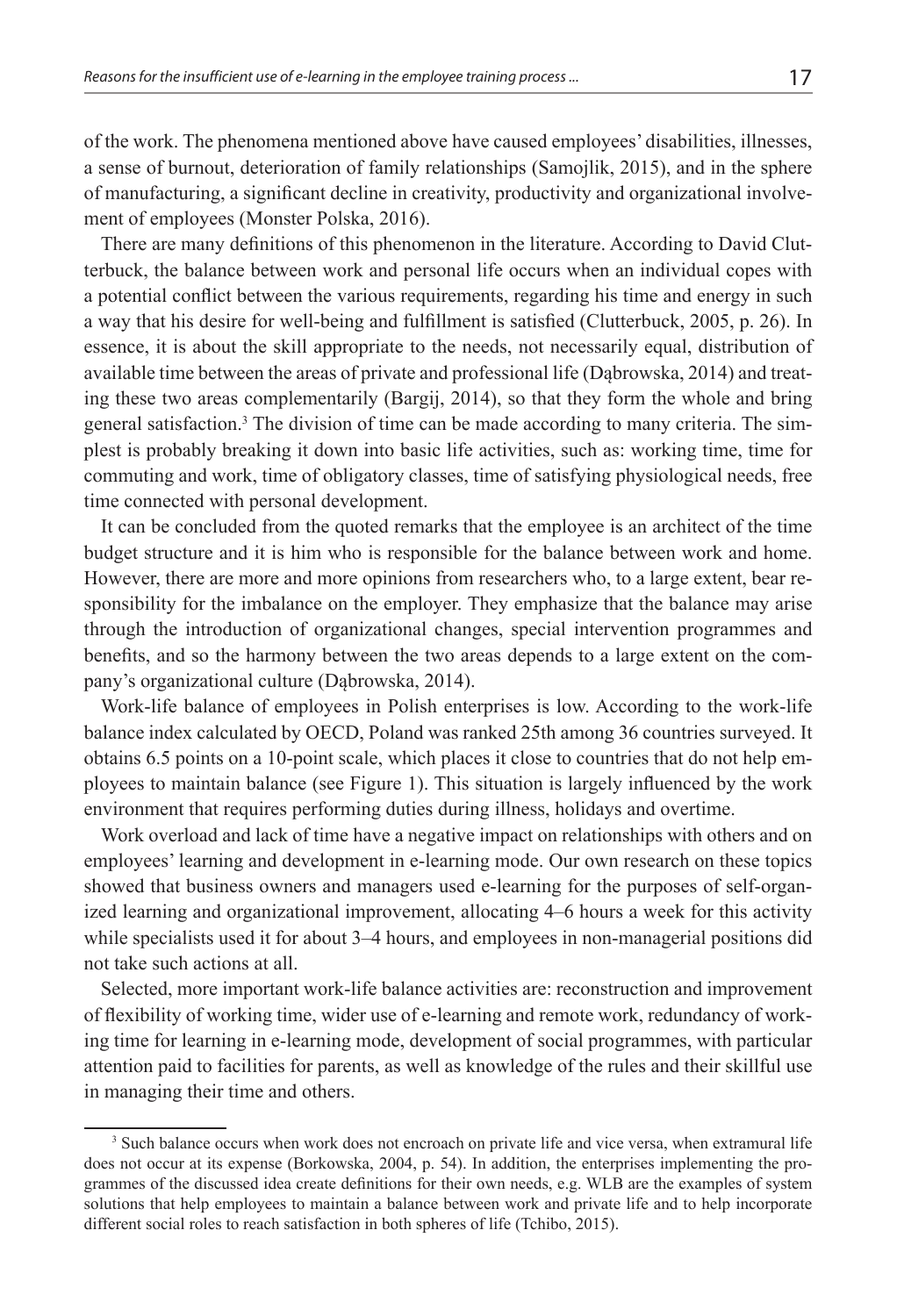of the work. The phenomena mentioned above have caused employees' disabilities, illnesses, a sense of burnout, deterioration of family relationships (Samojlik, 2015), and in the sphere of manufacturing, a significant decline in creativity, productivity and organizational involvement of employees (Monster Polska, 2016).

There are many definitions of this phenomenon in the literature. According to David Clutterbuck, the balance between work and personal life occurs when an individual copes with a potential conflict between the various requirements, regarding his time and energy in such a way that his desire for well-being and fulfillment is satisfied (Clutterbuck, 2005, p. 26). In essence, it is about the skill appropriate to the needs, not necessarily equal, distribution of available time between the areas of private and professional life (Dąbrowska, 2014) and treating these two areas complementarily (Bargij, 2014), so that they form the whole and bring general satisfaction.<sup>3</sup> The division of time can be made according to many criteria. The simplest is probably breaking it down into basic life activities, such as: working time, time for commuting and work, time of obligatory classes, time of satisfying physiological needs, free time connected with personal development.

It can be concluded from the quoted remarks that the employee is an architect of the time budget structure and it is him who is responsible for the balance between work and home. However, there are more and more opinions from researchers who, to a large extent, bear responsibility for the imbalance on the employer. They emphasize that the balance may arise through the introduction of organizational changes, special intervention programmes and benefits, and so the harmony between the two areas depends to a large extent on the company's organizational culture (Dąbrowska, 2014).

Work-life balance of employees in Polish enterprises is low. According to the work-life balance index calculated by OECD, Poland was ranked 25th among 36 countries surveyed. It obtains 6.5 points on a 10-point scale, which places it close to countries that do not help employees to maintain balance (see Figure 1). This situation is largely influenced by the work environment that requires performing duties during illness, holidays and overtime.

Work overload and lack of time have a negative impact on relationships with others and on employees' learning and development in e-learning mode. Our own research on these topics showed that business owners and managers used e-learning for the purposes of self-organized learning and organizational improvement, allocating 4–6 hours a week for this activity while specialists used it for about 3–4 hours, and employees in non-managerial positions did not take such actions at all.

Selected, more important work-life balance activities are: reconstruction and improvement of flexibility of working time, wider use of e-learning and remote work, redundancy of working time for learning in e-learning mode, development of social programmes, with particular attention paid to facilities for parents, as well as knowledge of the rules and their skillful use in managing their time and others.

<sup>&</sup>lt;sup>3</sup> Such balance occurs when work does not encroach on private life and vice versa, when extramural life does not occur at its expense (Borkowska, 2004, p. 54). In addition, the enterprises implementing the programmes of the discussed idea create definitions for their own needs, e.g. WLB are the examples of system solutions that help employees to maintain a balance between work and private life and to help incorporate different social roles to reach satisfaction in both spheres of life (Tchibo, 2015).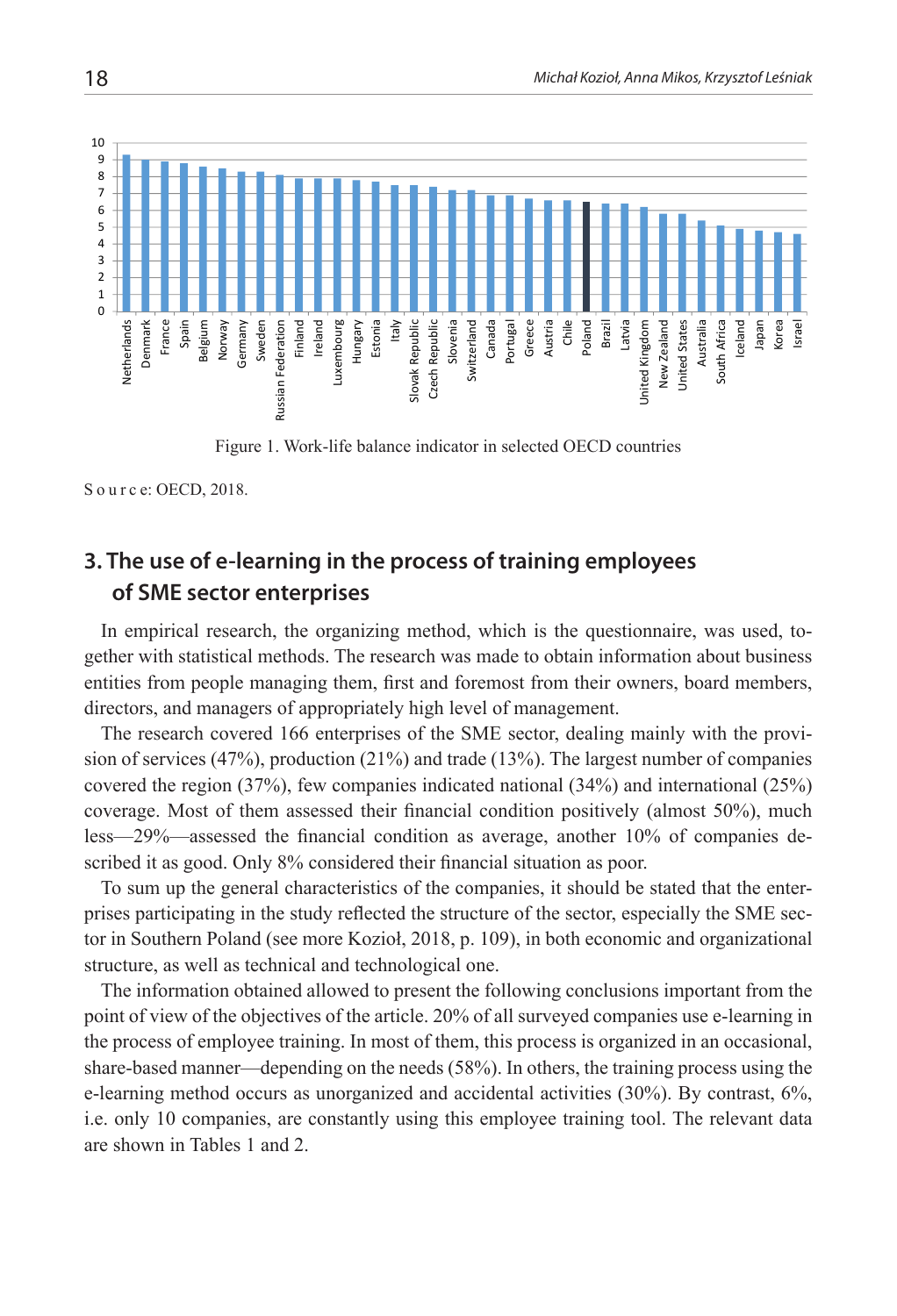

Figure 1. Work-life balance indicator in selected OECD countries

S o u r c e: OECD, 2018.

## **3. The use of e-learning in the process of training employees of SME sector enterprises**

In empirical research, the organizing method, which is the questionnaire, was used, together with statistical methods. The research was made to obtain information about business entities from people managing them, first and foremost from their owners, board members, directors, and managers of appropriately high level of management.

The research covered 166 enterprises of the SME sector, dealing mainly with the provision of services (47%), production (21%) and trade (13%). The largest number of companies covered the region (37%), few companies indicated national (34%) and international (25%) coverage. Most of them assessed their financial condition positively (almost 50%), much less—29%—assessed the financial condition as average, another 10% of companies described it as good. Only 8% considered their financial situation as poor.

To sum up the general characteristics of the companies, it should be stated that the enterprises participating in the study reflected the structure of the sector, especially the SME sector in Southern Poland (see more Kozioł, 2018, p. 109), in both economic and organizational structure, as well as technical and technological one.

The information obtained allowed to present the following conclusions important from the point of view of the objectives of the article. 20% of all surveyed companies use e-learning in the process of employee training. In most of them, this process is organized in an occasional, share-based manner—depending on the needs (58%). In others, the training process using the e-learning method occurs as unorganized and accidental activities (30%). By contrast, 6%, i.e. only 10 companies, are constantly using this employee training tool. The relevant data are shown in Tables 1 and 2.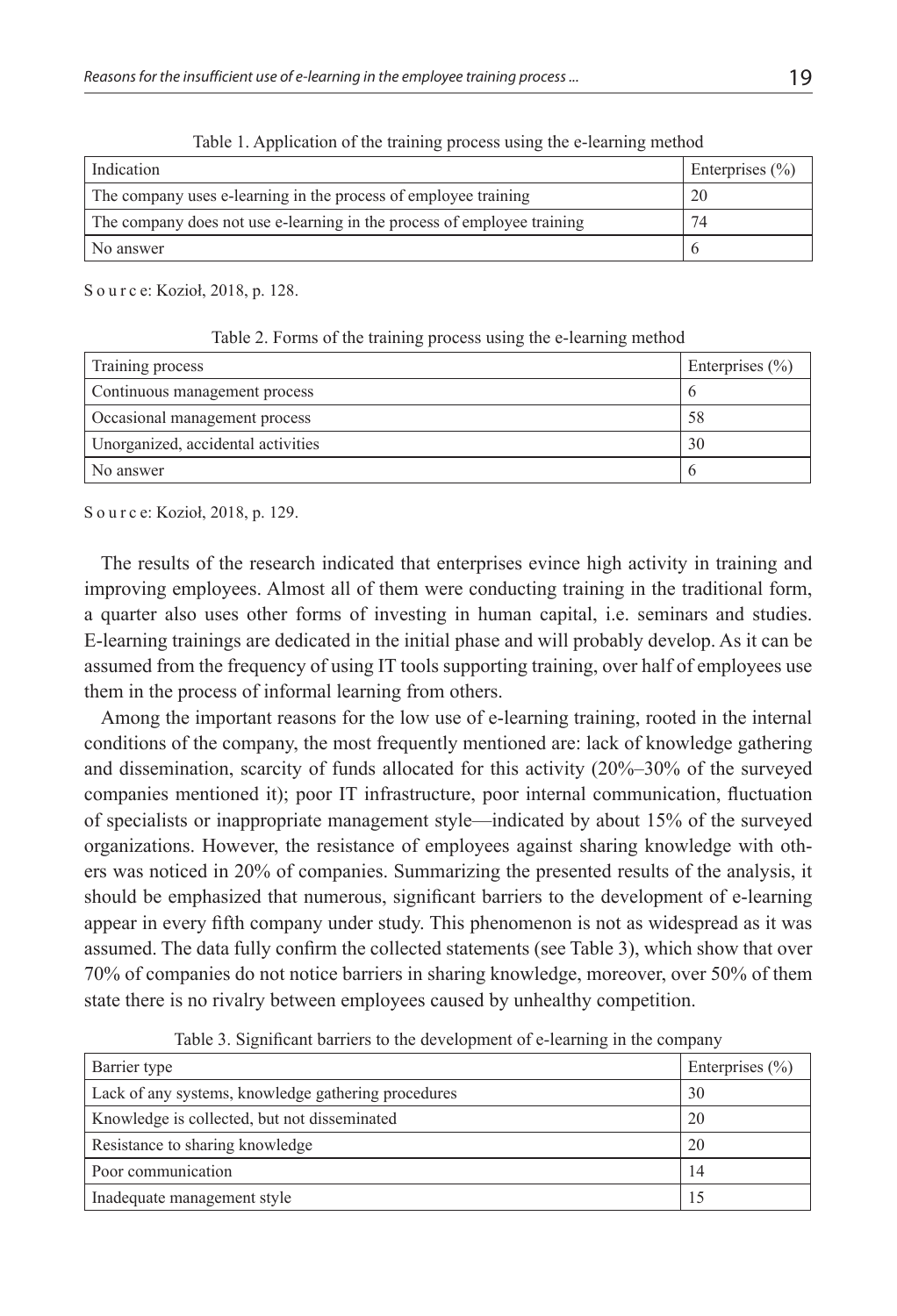| Indication                                                              | Enterprises $(\% )$ |
|-------------------------------------------------------------------------|---------------------|
| The company uses e-learning in the process of employee training         | 20                  |
| The company does not use e-learning in the process of employee training | 74                  |
| No answer                                                               |                     |

Table 1. Application of the training process using the e-learning method

S o u r c e: Kozioł, 2018, p. 128.

Table 2. Forms of the training process using the e-learning method

| Training process                   | Enterprises $(\% )$ |
|------------------------------------|---------------------|
| Continuous management process      |                     |
| Occasional management process      | 58                  |
| Unorganized, accidental activities | 30                  |
| No answer                          |                     |

S o u r c e: Kozioł, 2018, p. 129.

The results of the research indicated that enterprises evince high activity in training and improving employees. Almost all of them were conducting training in the traditional form, a quarter also uses other forms of investing in human capital, i.e. seminars and studies. E-learning trainings are dedicated in the initial phase and will probably develop. As it can be assumed from the frequency of using IT tools supporting training, over half of employees use them in the process of informal learning from others.

Among the important reasons for the low use of e-learning training, rooted in the internal conditions of the company, the most frequently mentioned are: lack of knowledge gathering and dissemination, scarcity of funds allocated for this activity (20%–30% of the surveyed companies mentioned it); poor IT infrastructure, poor internal communication, fluctuation of specialists or inappropriate management style—indicated by about 15% of the surveyed organizations. However, the resistance of employees against sharing knowledge with others was noticed in 20% of companies. Summarizing the presented results of the analysis, it should be emphasized that numerous, significant barriers to the development of e-learning appear in every fifth company under study. This phenomenon is not as widespread as it was assumed. The data fully confirm the collected statements (see Table 3), which show that over 70% of companies do not notice barriers in sharing knowledge, moreover, over 50% of them state there is no rivalry between employees caused by unhealthy competition.

| Barrier type                                        | Enterprises $(\% )$ |
|-----------------------------------------------------|---------------------|
| Lack of any systems, knowledge gathering procedures | 30                  |
| Knowledge is collected, but not disseminated        | 20                  |
| Resistance to sharing knowledge                     | 20                  |
| Poor communication                                  | 14                  |
| Inadequate management style                         | 15                  |

Table 3. Significant barriers to the development of e-learning in the company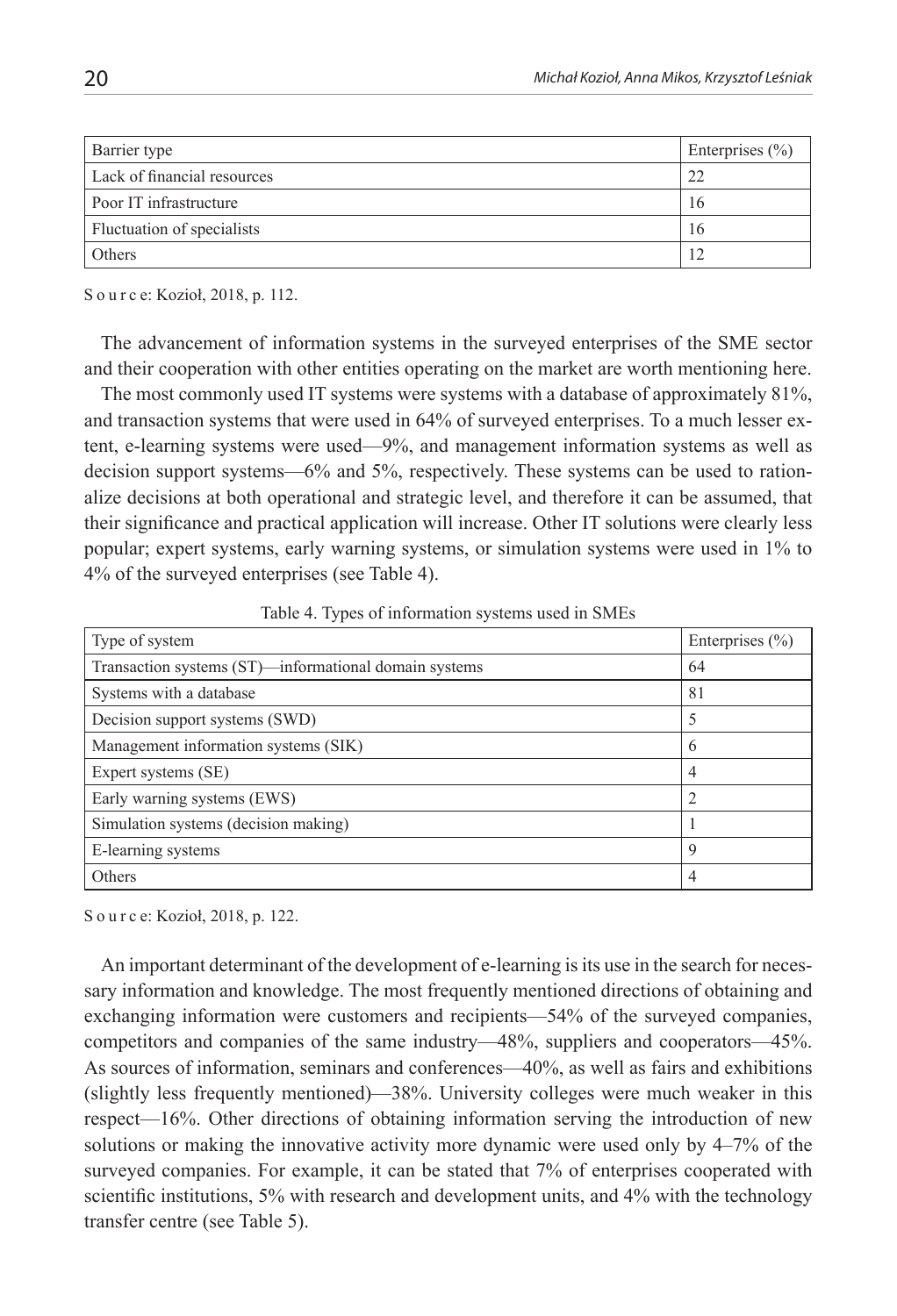| Barrier type                | Enterprises $(\% )$ |
|-----------------------------|---------------------|
| Lack of financial resources | 22                  |
| Poor IT infrastructure      | 16                  |
| Fluctuation of specialists  | 16                  |
| Others                      |                     |

S o u r c e: Kozioł, 2018, p. 112.

The advancement of information systems in the surveyed enterprises of the SME sector and their cooperation with other entities operating on the market are worth mentioning here.

The most commonly used IT systems were systems with a database of approximately 81%, and transaction systems that were used in 64% of surveyed enterprises. To a much lesser extent, e-learning systems were used—9%, and management information systems as well as decision support systems—6% and 5%, respectively. These systems can be used to rationalize decisions at both operational and strategic level, and therefore it can be assumed, that their significance and practical application will increase. Other IT solutions were clearly less popular; expert systems, early warning systems, or simulation systems were used in 1% to 4% of the surveyed enterprises (see Table 4).

Table 4. Types of information systems used in SMEs

| Type of system                                        | Enterprises $(\% )$ |
|-------------------------------------------------------|---------------------|
| Transaction systems (ST)—informational domain systems | 64                  |
| Systems with a database                               | 81                  |
| Decision support systems (SWD)                        | 5                   |
| Management information systems (SIK)                  | 6                   |
| Expert systems (SE)                                   | 4                   |
| Early warning systems (EWS)                           | $\overline{2}$      |
| Simulation systems (decision making)                  |                     |
| E-learning systems                                    | 9                   |
| Others                                                | 4                   |

S o u r c e: Kozioł, 2018, p. 122.

An important determinant of the development of e-learning is its use in the search for necessary information and knowledge. The most frequently mentioned directions of obtaining and exchanging information were customers and recipients—54% of the surveyed companies, competitors and companies of the same industry—48%, suppliers and cooperators—45%. As sources of information, seminars and conferences—40%, as well as fairs and exhibitions (slightly less frequently mentioned)—38%. University colleges were much weaker in this respect—16%. Other directions of obtaining information serving the introduction of new solutions or making the innovative activity more dynamic were used only by 4–7% of the surveyed companies. For example, it can be stated that 7% of enterprises cooperated with scientific institutions, 5% with research and development units, and 4% with the technology transfer centre (see Table 5).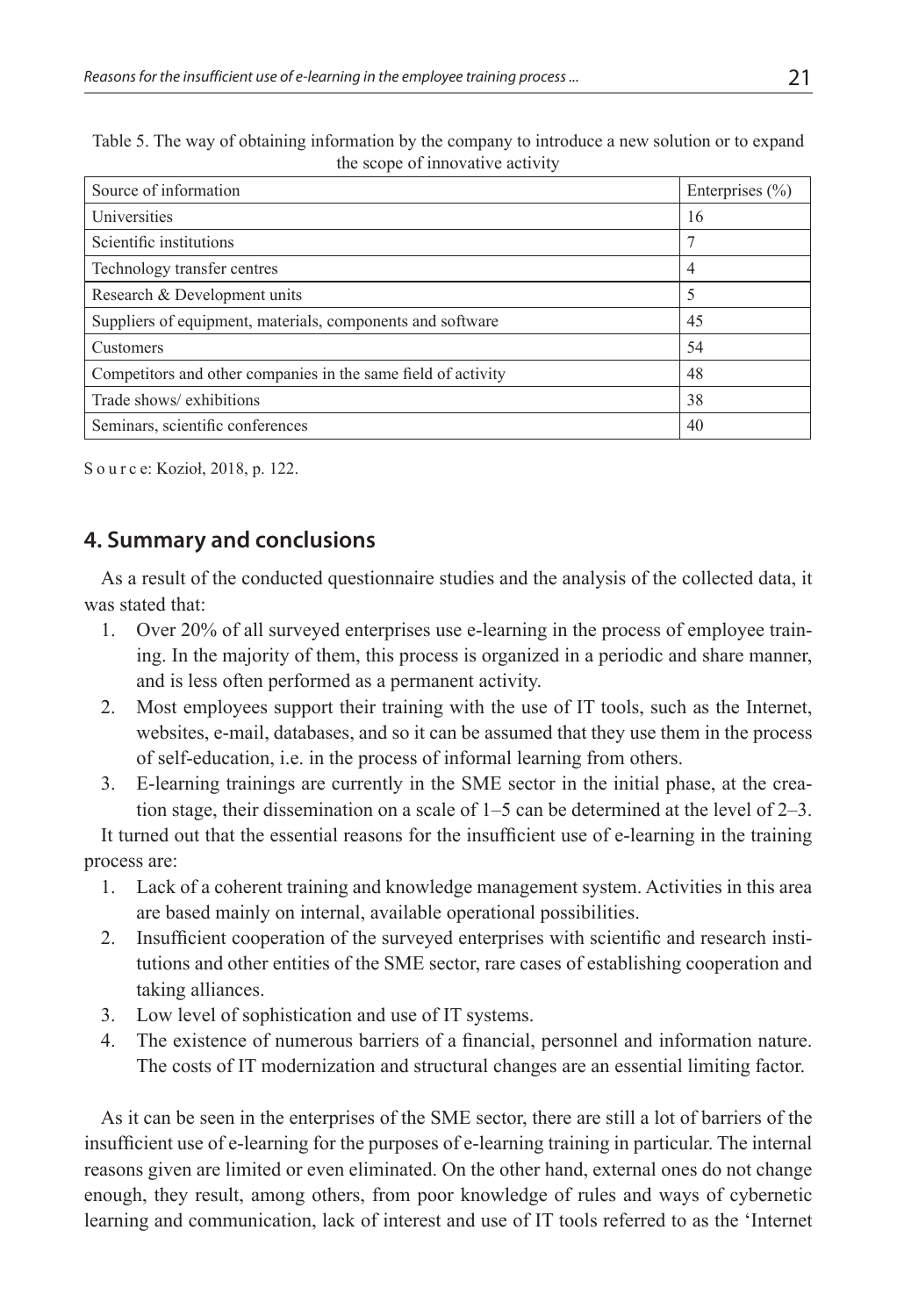| Table 5. The way of obtaining information by the company to introduce a new solution or to expand |
|---------------------------------------------------------------------------------------------------|
| the scope of innovative activity                                                                  |

| Source of information                                         | Enterprises $(\% )$ |
|---------------------------------------------------------------|---------------------|
| Universities                                                  | 16                  |
| Scientific institutions                                       |                     |
| Technology transfer centres                                   | 4                   |
| Research & Development units                                  | 5                   |
| Suppliers of equipment, materials, components and software    | 45                  |
| Customers                                                     | 54                  |
| Competitors and other companies in the same field of activity | 48                  |
| Trade shows/ exhibitions                                      | 38                  |
| Seminars, scientific conferences                              | 40                  |

S o u r c e: Kozioł, 2018, p. 122.

## **4. Summary and conclusions**

As a result of the conducted questionnaire studies and the analysis of the collected data, it was stated that:

- 1. Over 20% of all surveyed enterprises use e-learning in the process of employee training. In the majority of them, this process is organized in a periodic and share manner, and is less often performed as a permanent activity.
- 2. Most employees support their training with the use of IT tools, such as the Internet, websites, e-mail, databases, and so it can be assumed that they use them in the process of self-education, i.e. in the process of informal learning from others.
- 3. E-learning trainings are currently in the SME sector in the initial phase, at the creation stage, their dissemination on a scale of 1–5 can be determined at the level of 2–3.

It turned out that the essential reasons for the insufficient use of e-learning in the training process are:

- 1. Lack of a coherent training and knowledge management system. Activities in this area are based mainly on internal, available operational possibilities.
- 2. Insufficient cooperation of the surveyed enterprises with scientific and research institutions and other entities of the SME sector, rare cases of establishing cooperation and taking alliances.
- 3. Low level of sophistication and use of IT systems.
- 4. The existence of numerous barriers of a financial, personnel and information nature. The costs of IT modernization and structural changes are an essential limiting factor.

As it can be seen in the enterprises of the SME sector, there are still a lot of barriers of the insufficient use of e-learning for the purposes of e-learning training in particular. The internal reasons given are limited or even eliminated. On the other hand, external ones do not change enough, they result, among others, from poor knowledge of rules and ways of cybernetic learning and communication, lack of interest and use of IT tools referred to as the 'Internet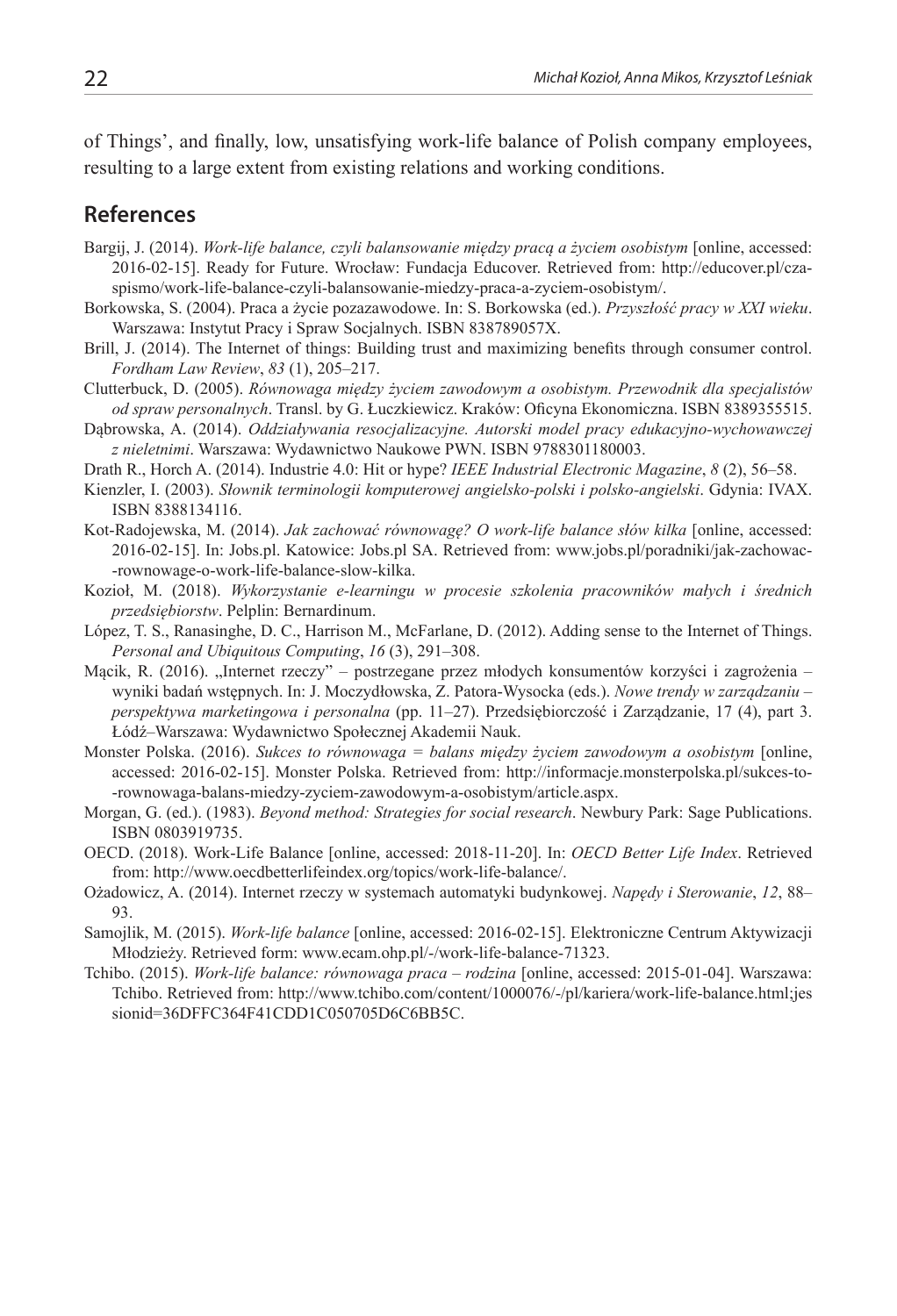of Things', and finally, low, unsatisfying work-life balance of Polish company employees, resulting to a large extent from existing relations and working conditions.

### **References**

- Bargij, J. (2014). *Work-life balance, czyli balansowanie między pracą a życiem osobistym* [online, accessed: 2016-02-15]. Ready for Future. Wrocław: Fundacja Educover. Retrieved from: http://educover.pl/czaspismo/work-life-balance-czyli-balansowanie-miedzy-praca-a-zyciem-osobistym/.
- Borkowska, S. (2004). Praca a życie pozazawodowe. In: S. Borkowska (ed.). *Przyszłość pracy w XXI wieku*. Warszawa: Instytut Pracy i Spraw Socjalnych. ISBN 838789057X.
- Brill, J. (2014). The Internet of things: Building trust and maximizing benefits through consumer control. *Fordham Law Review*, *83* (1), 205–217.
- Clutterbuck, D. (2005). *Równowaga między życiem zawodowym a osobistym. Przewodnik dla specjalistów od spraw personalnych*. Transl. by G. Łuczkiewicz. Kraków: Oficyna Ekonomiczna. ISBN 8389355515.
- Dąbrowska, A. (2014). *Oddziaływania resocjalizacyjne. Autorski model pracy edukacyjno-wychowawczej z nieletnimi*. Warszawa: Wydawnictwo Naukowe PWN. ISBN 9788301180003.

Drath R., Horch A. (2014). Industrie 4.0: Hit or hype? *IEEE Industrial Electronic Magazine*, *8* (2), 56–58.

- Kienzler, I. (2003). *Słownik terminologii komputerowej angielsko-polski i polsko-angielski*. Gdynia: IVAX. ISBN 8388134116.
- Kot-Radojewska, M. (2014). *Jak zachować równowagę? O work-life balance słów kilka* [online, accessed: 2016-02-15]. In: Jobs.pl. Katowice: Jobs.pl SA. Retrieved from: www.jobs.pl/poradniki/jak-zachowac- -rownowage-o-work-life-balance-slow-kilka.
- Kozioł, M. (2018). *Wykorzystanie e-learningu w procesie szkolenia pracowników małych i średnich przedsiębiorstw*. Pelplin: Bernardinum.
- López, T. S., Ranasinghe, D. C., Harrison M., McFarlane, D. (2012). Adding sense to the Internet of Things. *Personal and Ubiquitous Computing*, *16* (3), 291–308.
- Mącik, R. (2016). "Internet rzeczy" postrzegane przez młodych konsumentów korzyści i zagrożenia wyniki badań wstępnych. In: J. Moczydłowska, Z. Patora-Wysocka (eds.). *Nowe trendy w zarządzaniu – perspektywa marketingowa i personalna* (pp. 11–27). Przedsiębiorczość i Zarządzanie, 17 (4), part 3. Łódź–Warszawa: Wydawnictwo Społecznej Akademii Nauk.
- Monster Polska. (2016). *Sukces to równowaga = balans między życiem zawodowym a osobistym* [online, accessed: 2016-02-15]. Monster Polska. Retrieved from: http://informacje.monsterpolska.pl/sukces-to- -rownowaga-balans-miedzy-zyciem-zawodowym-a-osobistym/article.aspx.
- Morgan, G. (ed.). (1983). *Beyond method: Strategies for social research*. Newbury Park: Sage Publications. ISBN 0803919735.
- OECD. (2018). Work-Life Balance [online, accessed: 2018-11-20]. In: *OECD Better Life Index*. Retrieved from: http://www.oecdbetterlifeindex.org/topics/work-life-balance/.
- Ożadowicz, A. (2014). Internet rzeczy w systemach automatyki budynkowej. *Napędy i Sterowanie*, *12*, 88– 93.
- Samojlik, M. (2015). *Work-life balance* [online, accessed: 2016-02-15]. Elektroniczne Centrum Aktywizacji Młodzieży. Retrieved form: www.ecam.ohp.pl/-/work-life-balance-71323.
- Tchibo. (2015). *Work-life balance: równowaga praca rodzina* [online, accessed: 2015-01-04]. Warszawa: Tchibo. Retrieved from: http://www.tchibo.com/content/1000076/-/pl/kariera/work-life-balance.html;jes sionid=36DFFC364F41CDD1C050705D6C6BB5C.